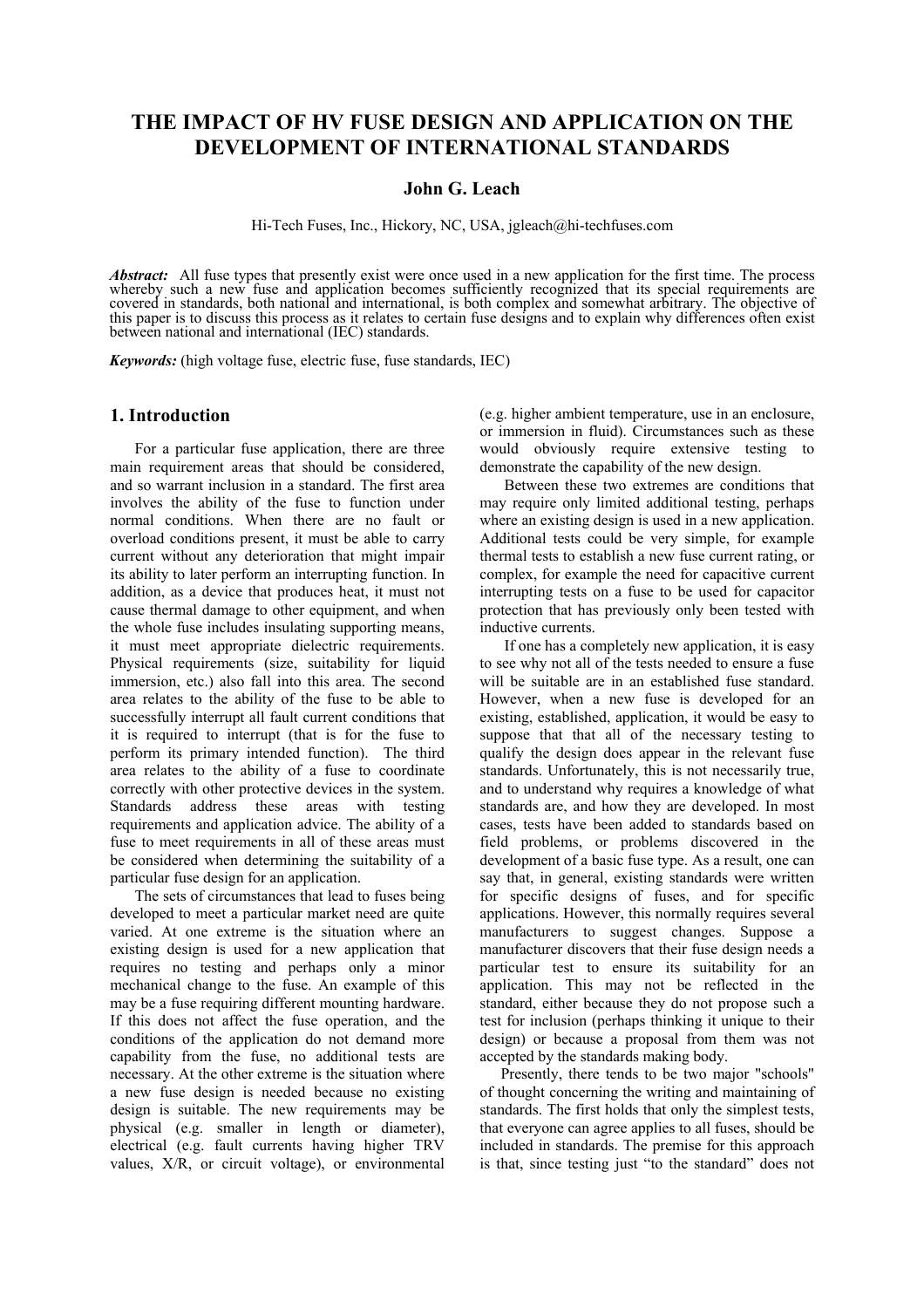# **THE IMPACT OF HV FUSE DESIGN AND APPLICATION ON THE DEVELOPMENT OF INTERNATIONAL STANDARDS**

## **John G. Leach**

Hi-Tech Fuses, Inc., Hickory, NC, USA, jgleach@hi-techfuses.com

*Abstract:* All fuse types that presently exist were once used in a new application for the first time. The process whereby such a new fuse and application becomes sufficiently recognized that its special requirements are covered in standards, both national and international, is both complex and somewhat arbitrary. The objective of this paper is to discuss this process as it relates to certain fuse designs and to explain why differences often exist between national and international (IEC) standards.

*Keywords:* (high voltage fuse, electric fuse, fuse standards, IEC)

## **1. Introduction**

For a particular fuse application, there are three main requirement areas that should be considered. and so warrant inclusion in a standard. The first area involves the ability of the fuse to function under normal conditions. When there are no fault or overload conditions present, it must be able to carry current without any deterioration that might impair its ability to later perform an interrupting function. In addition, as a device that produces heat, it must not cause thermal damage to other equipment, and when the whole fuse includes insulating supporting means, it must meet appropriate dielectric requirements. Physical requirements (size, suitability for liquid immersion, etc.) also fall into this area. The second area relates to the ability of the fuse to be able to successfully interrupt all fault current conditions that it is required to interrupt (that is for the fuse to perform its primary intended function). The third area relates to the ability of a fuse to coordinate correctly with other protective devices in the system. Standards address these areas with testing requirements and application advice. The ability of a fuse to meet requirements in all of these areas must be considered when determining the suitability of a particular fuse design for an application.

The sets of circumstances that lead to fuses being developed to meet a particular market need are quite varied. At one extreme is the situation where an existing design is used for a new application that requires no testing and perhaps only a minor mechanical change to the fuse. An example of this may be a fuse requiring different mounting hardware. If this does not affect the fuse operation, and the conditions of the application do not demand more capability from the fuse, no additional tests are necessary. At the other extreme is the situation where a new fuse design is needed because no existing design is suitable. The new requirements may be physical (e.g. smaller in length or diameter), electrical (e.g. fault currents having higher TRV values, X/R, or circuit voltage), or environmental

(e.g. higher ambient temperature, use in an enclosure, or immersion in fluid). Circumstances such as these would obviously require extensive testing to demonstrate the capability of the new design.

Between these two extremes are conditions that may require only limited additional testing, perhaps where an existing design is used in a new application. Additional tests could be very simple, for example thermal tests to establish a new fuse current rating, or complex, for example the need for capacitive current interrupting tests on a fuse to be used for capacitor protection that has previously only been tested with inductive currents.

If one has a completely new application, it is easy to see why not all of the tests needed to ensure a fuse will be suitable are in an established fuse standard. However, when a new fuse is developed for an existing, established, application, it would be easy to suppose that that all of the necessary testing to qualify the design does appear in the relevant fuse standards. Unfortunately, this is not necessarily true, and to understand why requires a knowledge of what standards are, and how they are developed. In most cases, tests have been added to standards based on field problems, or problems discovered in the development of a basic fuse type. As a result, one can say that, in general, existing standards were written for specific designs of fuses, and for specific applications. However, this normally requires several manufacturers to suggest changes. Suppose a manufacturer discovers that their fuse design needs a particular test to ensure its suitability for an application. This may not be reflected in the standard, either because they do not propose such a test for inclusion (perhaps thinking it unique to their design) or because a proposal from them was not accepted by the standards making body.

Presently, there tends to be two major "schools" of thought concerning the writing and maintaining of standards. The first holds that only the simplest tests, that everyone can agree applies to all fuses, should be included in standards. The premise for this approach is that, since testing just "to the standard" does not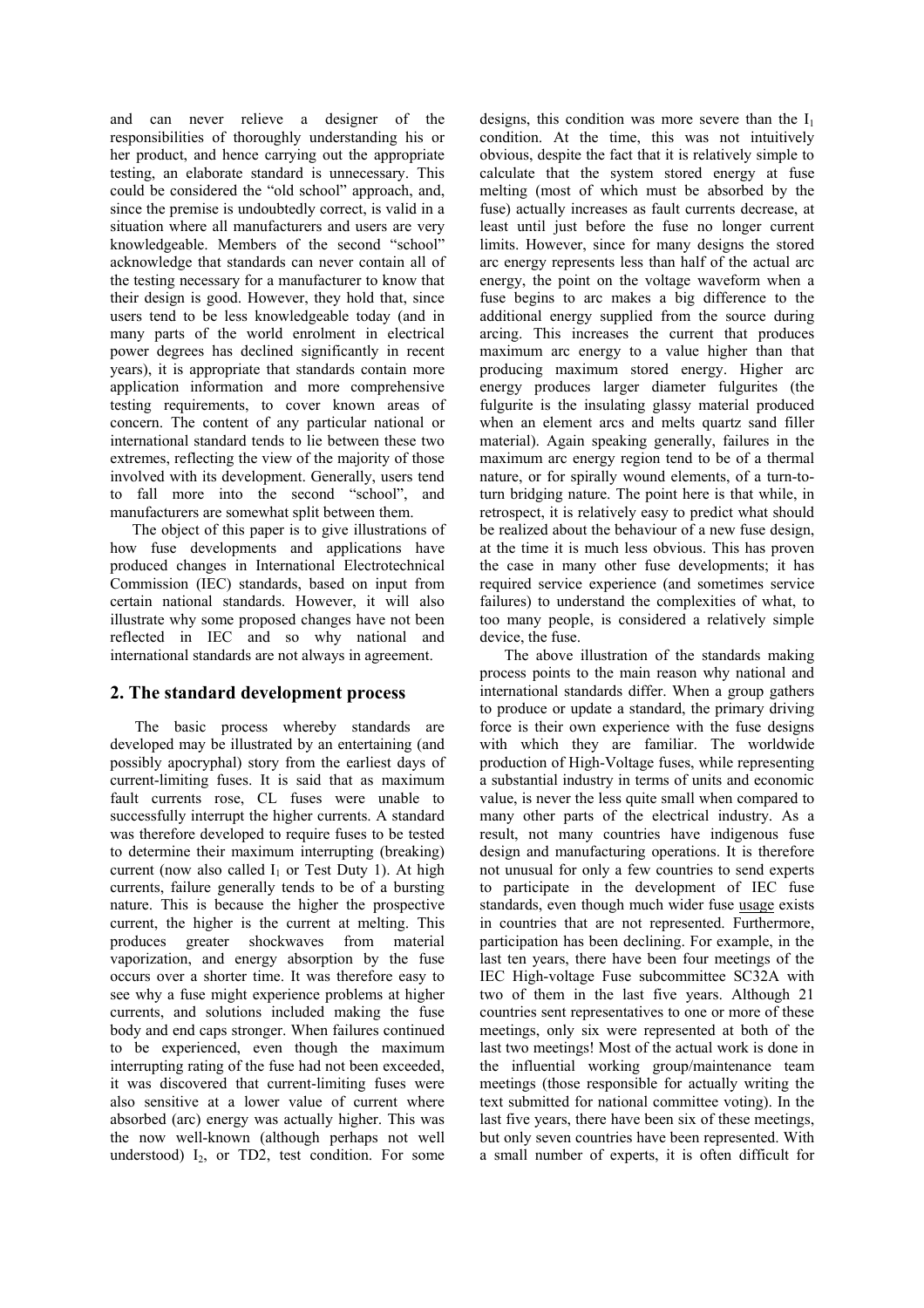and can never relieve a designer of the responsibilities of thoroughly understanding his or her product, and hence carrying out the appropriate testing, an elaborate standard is unnecessary. This could be considered the "old school" approach, and, since the premise is undoubtedly correct, is valid in a situation where all manufacturers and users are very knowledgeable. Members of the second "school" acknowledge that standards can never contain all of the testing necessary for a manufacturer to know that their design is good. However, they hold that, since users tend to be less knowledgeable today (and in many parts of the world enrolment in electrical power degrees has declined significantly in recent years), it is appropriate that standards contain more application information and more comprehensive testing requirements, to cover known areas of concern. The content of any particular national or international standard tends to lie between these two extremes, reflecting the view of the majority of those involved with its development. Generally, users tend to fall more into the second "school", and manufacturers are somewhat split between them.

The object of this paper is to give illustrations of how fuse developments and applications have produced changes in International Electrotechnical Commission (IEC) standards, based on input from certain national standards. However, it will also illustrate why some proposed changes have not been reflected in IEC and so why national and international standards are not always in agreement.

# **2. The standard development process**

The basic process whereby standards are developed may be illustrated by an entertaining (and possibly apocryphal) story from the earliest days of current-limiting fuses. It is said that as maximum fault currents rose, CL fuses were unable to successfully interrupt the higher currents. A standard was therefore developed to require fuses to be tested to determine their maximum interrupting (breaking) current (now also called  $I_1$  or Test Duty 1). At high currents, failure generally tends to be of a bursting nature. This is because the higher the prospective current, the higher is the current at melting. This produces greater shockwaves from material vaporization, and energy absorption by the fuse occurs over a shorter time. It was therefore easy to see why a fuse might experience problems at higher currents, and solutions included making the fuse body and end caps stronger. When failures continued to be experienced, even though the maximum interrupting rating of the fuse had not been exceeded, it was discovered that current-limiting fuses were also sensitive at a lower value of current where absorbed (arc) energy was actually higher. This was the now well-known (although perhaps not well understood)  $I_2$ , or TD2, test condition. For some

designs, this condition was more severe than the  $I_1$ condition. At the time, this was not intuitively obvious, despite the fact that it is relatively simple to calculate that the system stored energy at fuse melting (most of which must be absorbed by the fuse) actually increases as fault currents decrease, at least until just before the fuse no longer current limits. However, since for many designs the stored arc energy represents less than half of the actual arc energy, the point on the voltage waveform when a fuse begins to arc makes a big difference to the additional energy supplied from the source during arcing. This increases the current that produces maximum arc energy to a value higher than that producing maximum stored energy. Higher arc energy produces larger diameter fulgurites (the fulgurite is the insulating glassy material produced when an element arcs and melts quartz sand filler material). Again speaking generally, failures in the maximum arc energy region tend to be of a thermal nature, or for spirally wound elements, of a turn-toturn bridging nature. The point here is that while, in retrospect, it is relatively easy to predict what should be realized about the behaviour of a new fuse design, at the time it is much less obvious. This has proven the case in many other fuse developments; it has required service experience (and sometimes service failures) to understand the complexities of what, to too many people, is considered a relatively simple device, the fuse.

The above illustration of the standards making process points to the main reason why national and international standards differ. When a group gathers to produce or update a standard, the primary driving force is their own experience with the fuse designs with which they are familiar. The worldwide production of High-Voltage fuses, while representing a substantial industry in terms of units and economic value, is never the less quite small when compared to many other parts of the electrical industry. As a result, not many countries have indigenous fuse design and manufacturing operations. It is therefore not unusual for only a few countries to send experts to participate in the development of IEC fuse standards, even though much wider fuse usage exists in countries that are not represented. Furthermore, participation has been declining. For example, in the last ten years, there have been four meetings of the IEC High-voltage Fuse subcommittee SC32A with two of them in the last five years. Although 21 countries sent representatives to one or more of these meetings, only six were represented at both of the last two meetings! Most of the actual work is done in the influential working group/maintenance team meetings (those responsible for actually writing the text submitted for national committee voting). In the last five years, there have been six of these meetings, but only seven countries have been represented. With a small number of experts, it is often difficult for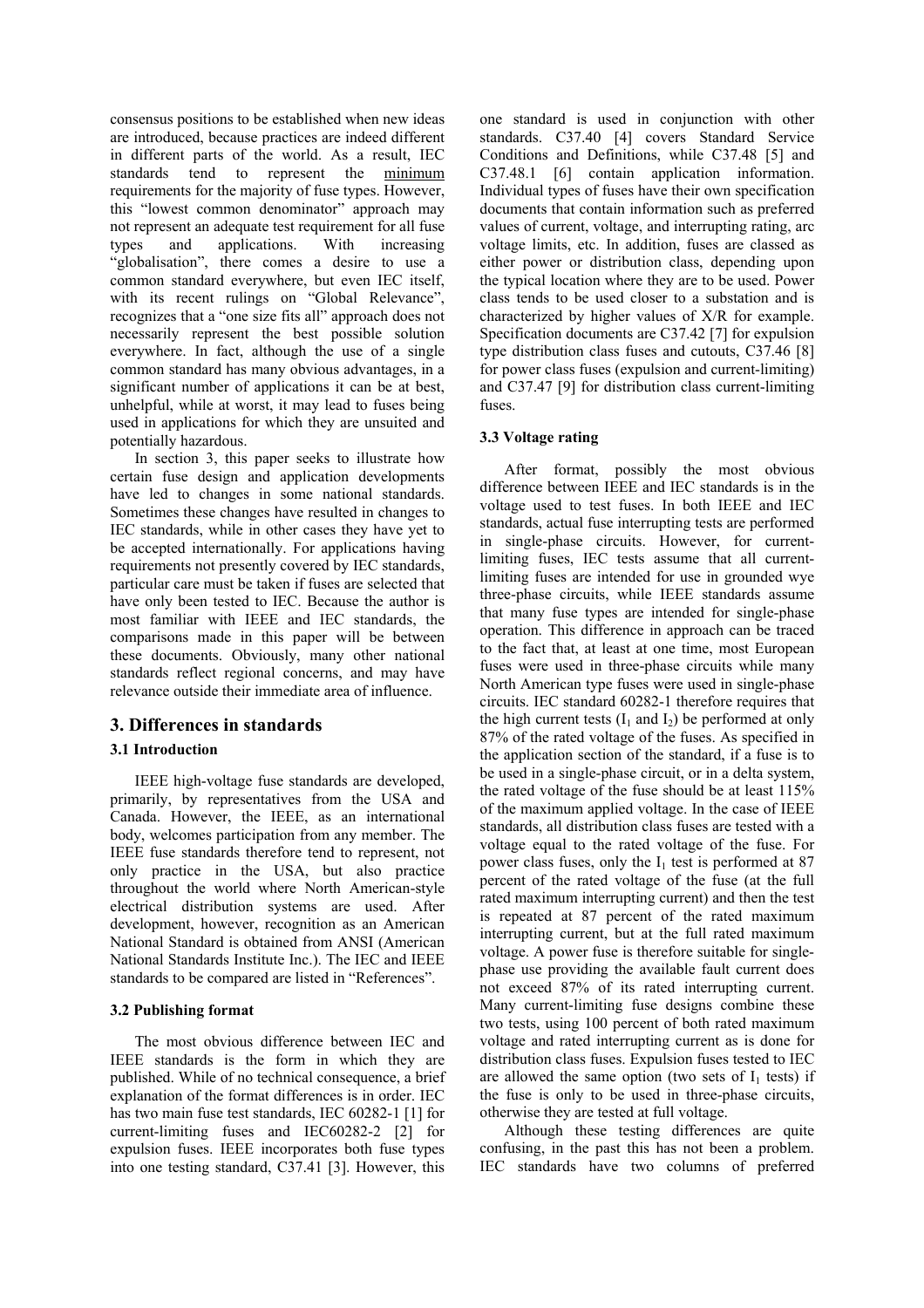consensus positions to be established when new ideas are introduced, because practices are indeed different in different parts of the world. As a result, IEC standards tend to represent the minimum requirements for the majority of fuse types. However, this "lowest common denominator" approach may not represent an adequate test requirement for all fuse types and applications. With increasing "globalisation", there comes a desire to use a common standard everywhere, but even IEC itself, with its recent rulings on "Global Relevance", recognizes that a "one size fits all" approach does not necessarily represent the best possible solution everywhere. In fact, although the use of a single common standard has many obvious advantages, in a significant number of applications it can be at best, unhelpful, while at worst, it may lead to fuses being used in applications for which they are unsuited and potentially hazardous.

In section 3, this paper seeks to illustrate how certain fuse design and application developments have led to changes in some national standards. Sometimes these changes have resulted in changes to IEC standards, while in other cases they have yet to be accepted internationally. For applications having requirements not presently covered by IEC standards, particular care must be taken if fuses are selected that have only been tested to IEC. Because the author is most familiar with IEEE and IEC standards, the comparisons made in this paper will be between these documents. Obviously, many other national standards reflect regional concerns, and may have relevance outside their immediate area of influence.

# **3. Differences in standards**

## **3.1 Introduction**

IEEE high-voltage fuse standards are developed, primarily, by representatives from the USA and Canada. However, the IEEE, as an international body, welcomes participation from any member. The IEEE fuse standards therefore tend to represent, not only practice in the USA, but also practice throughout the world where North American-style electrical distribution systems are used. After development, however, recognition as an American National Standard is obtained from ANSI (American National Standards Institute Inc.). The IEC and IEEE standards to be compared are listed in "References".

#### **3.2 Publishing format**

The most obvious difference between IEC and IEEE standards is the form in which they are published. While of no technical consequence, a brief explanation of the format differences is in order. IEC has two main fuse test standards, IEC 60282-1 [1] for current-limiting fuses and IEC60282-2 [2] for expulsion fuses. IEEE incorporates both fuse types into one testing standard, C37.41 [3]. However, this

one standard is used in conjunction with other standards. C37.40 [4] covers Standard Service Conditions and Definitions, while C37.48 [5] and C37.48.1 [6] contain application information. Individual types of fuses have their own specification documents that contain information such as preferred values of current, voltage, and interrupting rating, arc voltage limits, etc. In addition, fuses are classed as either power or distribution class, depending upon the typical location where they are to be used. Power class tends to be used closer to a substation and is characterized by higher values of X/R for example. Specification documents are C37.42 [7] for expulsion type distribution class fuses and cutouts, C37.46 [8] for power class fuses (expulsion and current-limiting) and C37.47 [9] for distribution class current-limiting fuses.

#### **3.3 Voltage rating**

After format, possibly the most obvious difference between IEEE and IEC standards is in the voltage used to test fuses. In both IEEE and IEC standards, actual fuse interrupting tests are performed in single-phase circuits. However, for currentlimiting fuses, IEC tests assume that all currentlimiting fuses are intended for use in grounded wye three-phase circuits, while IEEE standards assume that many fuse types are intended for single-phase operation. This difference in approach can be traced to the fact that, at least at one time, most European fuses were used in three-phase circuits while many North American type fuses were used in single-phase circuits. IEC standard 60282-1 therefore requires that the high current tests  $(I_1 \text{ and } I_2)$  be performed at only 87% of the rated voltage of the fuses. As specified in the application section of the standard, if a fuse is to be used in a single-phase circuit, or in a delta system, the rated voltage of the fuse should be at least 115% of the maximum applied voltage. In the case of IEEE standards, all distribution class fuses are tested with a voltage equal to the rated voltage of the fuse. For power class fuses, only the  $I_1$  test is performed at 87 percent of the rated voltage of the fuse (at the full rated maximum interrupting current) and then the test is repeated at 87 percent of the rated maximum interrupting current, but at the full rated maximum voltage. A power fuse is therefore suitable for singlephase use providing the available fault current does not exceed 87% of its rated interrupting current. Many current-limiting fuse designs combine these two tests, using 100 percent of both rated maximum voltage and rated interrupting current as is done for distribution class fuses. Expulsion fuses tested to IEC are allowed the same option (two sets of  $I_1$  tests) if the fuse is only to be used in three-phase circuits, otherwise they are tested at full voltage.

Although these testing differences are quite confusing, in the past this has not been a problem. IEC standards have two columns of preferred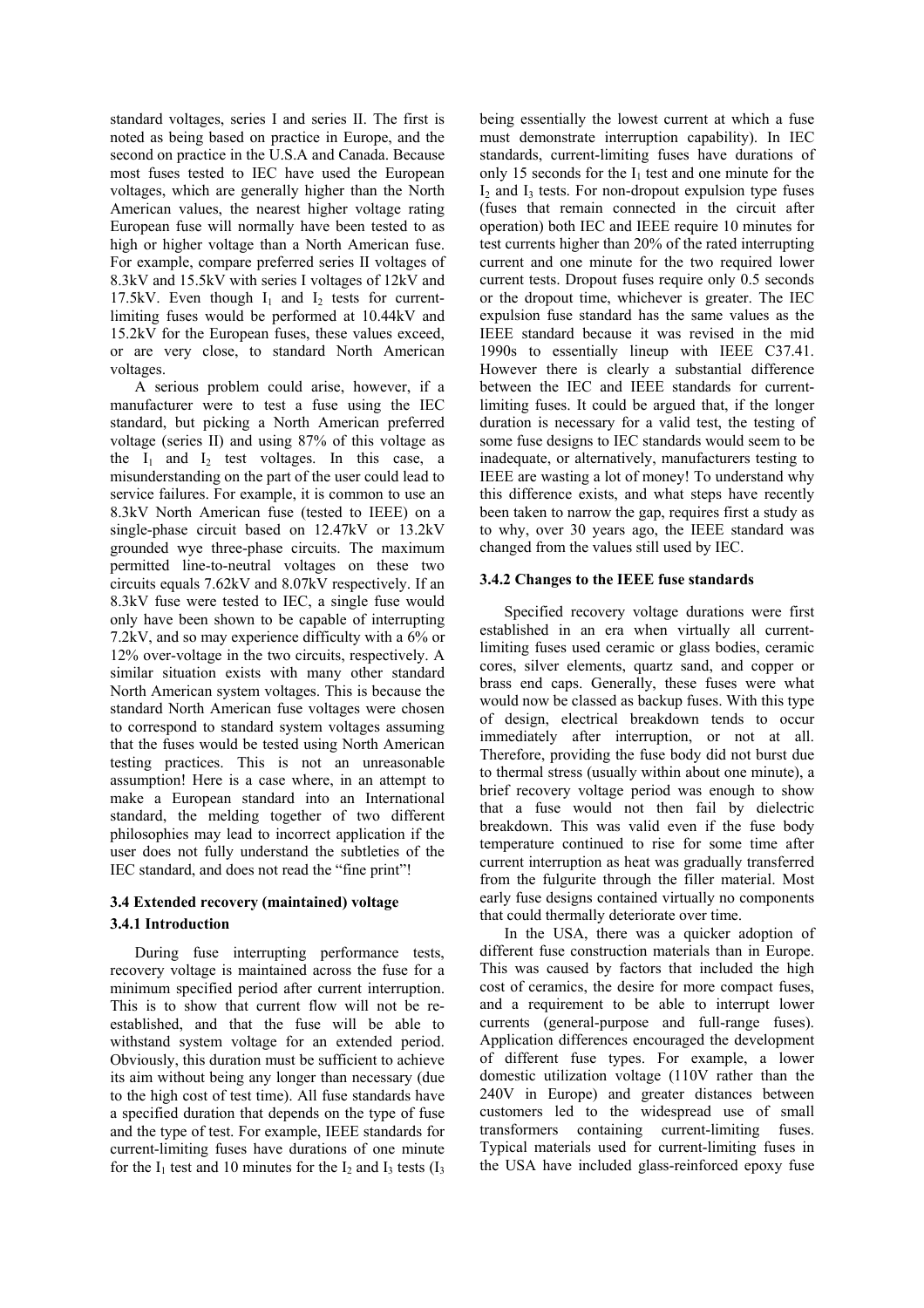standard voltages, series I and series II. The first is noted as being based on practice in Europe, and the second on practice in the U.S.A and Canada. Because most fuses tested to IEC have used the European voltages, which are generally higher than the North American values, the nearest higher voltage rating European fuse will normally have been tested to as high or higher voltage than a North American fuse. For example, compare preferred series II voltages of 8.3kV and 15.5kV with series I voltages of 12kV and 17.5kV. Even though  $I_1$  and  $I_2$  tests for currentlimiting fuses would be performed at 10.44kV and 15.2kV for the European fuses, these values exceed, or are very close, to standard North American voltages.

A serious problem could arise, however, if a manufacturer were to test a fuse using the IEC standard, but picking a North American preferred voltage (series II) and using 87% of this voltage as the  $I_1$  and  $I_2$  test voltages. In this case, a misunderstanding on the part of the user could lead to service failures. For example, it is common to use an 8.3kV North American fuse (tested to IEEE) on a single-phase circuit based on 12.47kV or 13.2kV grounded wye three-phase circuits. The maximum permitted line-to-neutral voltages on these two circuits equals 7.62kV and 8.07kV respectively. If an 8.3kV fuse were tested to IEC, a single fuse would only have been shown to be capable of interrupting 7.2kV, and so may experience difficulty with a 6% or 12% over-voltage in the two circuits, respectively. A similar situation exists with many other standard North American system voltages. This is because the standard North American fuse voltages were chosen to correspond to standard system voltages assuming that the fuses would be tested using North American testing practices. This is not an unreasonable assumption! Here is a case where, in an attempt to make a European standard into an International standard, the melding together of two different philosophies may lead to incorrect application if the user does not fully understand the subtleties of the IEC standard, and does not read the "fine print"!

# **3.4 Extended recovery (maintained) voltage 3.4.1 Introduction**

During fuse interrupting performance tests, recovery voltage is maintained across the fuse for a minimum specified period after current interruption. This is to show that current flow will not be reestablished, and that the fuse will be able to withstand system voltage for an extended period. Obviously, this duration must be sufficient to achieve its aim without being any longer than necessary (due to the high cost of test time). All fuse standards have a specified duration that depends on the type of fuse and the type of test. For example, IEEE standards for current-limiting fuses have durations of one minute for the  $I_1$  test and 10 minutes for the  $I_2$  and  $I_3$  tests  $(I_3)$ 

being essentially the lowest current at which a fuse must demonstrate interruption capability). In IEC standards, current-limiting fuses have durations of only 15 seconds for the  $I_1$  test and one minute for the  $I_2$  and  $I_3$  tests. For non-dropout expulsion type fuses (fuses that remain connected in the circuit after operation) both IEC and IEEE require 10 minutes for test currents higher than 20% of the rated interrupting current and one minute for the two required lower current tests. Dropout fuses require only 0.5 seconds or the dropout time, whichever is greater. The IEC expulsion fuse standard has the same values as the IEEE standard because it was revised in the mid 1990s to essentially lineup with IEEE C37.41. However there is clearly a substantial difference between the IEC and IEEE standards for currentlimiting fuses. It could be argued that, if the longer duration is necessary for a valid test, the testing of some fuse designs to IEC standards would seem to be inadequate, or alternatively, manufacturers testing to IEEE are wasting a lot of money! To understand why this difference exists, and what steps have recently been taken to narrow the gap, requires first a study as to why, over 30 years ago, the IEEE standard was changed from the values still used by IEC.

## **3.4.2 Changes to the IEEE fuse standards**

Specified recovery voltage durations were first established in an era when virtually all currentlimiting fuses used ceramic or glass bodies, ceramic cores, silver elements, quartz sand, and copper or brass end caps. Generally, these fuses were what would now be classed as backup fuses. With this type of design, electrical breakdown tends to occur immediately after interruption, or not at all. Therefore, providing the fuse body did not burst due to thermal stress (usually within about one minute), a brief recovery voltage period was enough to show that a fuse would not then fail by dielectric breakdown. This was valid even if the fuse body temperature continued to rise for some time after current interruption as heat was gradually transferred from the fulgurite through the filler material. Most early fuse designs contained virtually no components that could thermally deteriorate over time.

In the USA, there was a quicker adoption of different fuse construction materials than in Europe. This was caused by factors that included the high cost of ceramics, the desire for more compact fuses, and a requirement to be able to interrupt lower currents (general-purpose and full-range fuses). Application differences encouraged the development of different fuse types. For example, a lower domestic utilization voltage (110V rather than the 240V in Europe) and greater distances between customers led to the widespread use of small transformers containing current-limiting fuses. Typical materials used for current-limiting fuses in the USA have included glass-reinforced epoxy fuse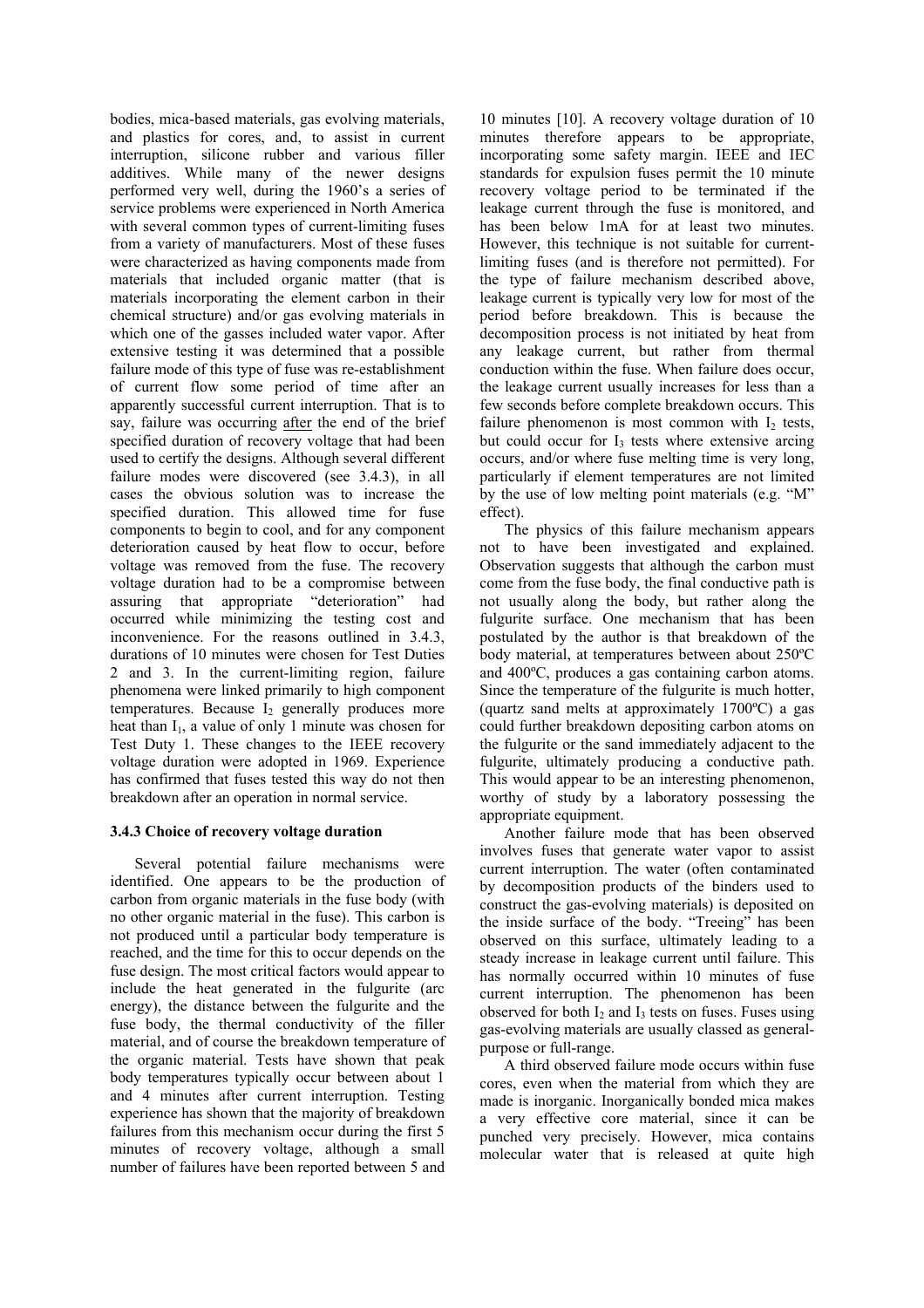bodies, mica-based materials, gas evolving materials, and plastics for cores, and, to assist in current interruption, silicone rubber and various filler additives. While many of the newer designs performed very well, during the 1960's a series of service problems were experienced in North America with several common types of current-limiting fuses from a variety of manufacturers. Most of these fuses were characterized as having components made from materials that included organic matter (that is materials incorporating the element carbon in their chemical structure) and/or gas evolving materials in which one of the gasses included water vapor. After extensive testing it was determined that a possible failure mode of this type of fuse was re-establishment of current flow some period of time after an apparently successful current interruption. That is to say, failure was occurring after the end of the brief specified duration of recovery voltage that had been used to certify the designs. Although several different failure modes were discovered (see 3.4.3), in all cases the obvious solution was to increase the specified duration. This allowed time for fuse components to begin to cool, and for any component deterioration caused by heat flow to occur, before voltage was removed from the fuse. The recovery voltage duration had to be a compromise between assuring that appropriate "deterioration" had occurred while minimizing the testing cost and inconvenience. For the reasons outlined in 3.4.3, durations of 10 minutes were chosen for Test Duties 2 and 3. In the current-limiting region, failure phenomena were linked primarily to high component temperatures. Because  $I_2$  generally produces more heat than  $I_1$ , a value of only 1 minute was chosen for Test Duty 1. These changes to the IEEE recovery voltage duration were adopted in 1969. Experience has confirmed that fuses tested this way do not then breakdown after an operation in normal service.

## **3.4.3 Choice of recovery voltage duration**

Several potential failure mechanisms were identified. One appears to be the production of carbon from organic materials in the fuse body (with no other organic material in the fuse). This carbon is not produced until a particular body temperature is reached, and the time for this to occur depends on the fuse design. The most critical factors would appear to include the heat generated in the fulgurite (arc energy), the distance between the fulgurite and the fuse body, the thermal conductivity of the filler material, and of course the breakdown temperature of the organic material. Tests have shown that peak body temperatures typically occur between about 1 and 4 minutes after current interruption. Testing experience has shown that the majority of breakdown failures from this mechanism occur during the first 5 minutes of recovery voltage, although a small number of failures have been reported between 5 and

10 minutes [10]. A recovery voltage duration of 10 minutes therefore appears to be appropriate, incorporating some safety margin. IEEE and IEC standards for expulsion fuses permit the 10 minute recovery voltage period to be terminated if the leakage current through the fuse is monitored, and has been below 1mA for at least two minutes. However, this technique is not suitable for currentlimiting fuses (and is therefore not permitted). For the type of failure mechanism described above, leakage current is typically very low for most of the period before breakdown. This is because the decomposition process is not initiated by heat from any leakage current, but rather from thermal conduction within the fuse. When failure does occur, the leakage current usually increases for less than a few seconds before complete breakdown occurs. This failure phenomenon is most common with  $I<sub>2</sub>$  tests, but could occur for  $I_3$  tests where extensive arcing occurs, and/or where fuse melting time is very long, particularly if element temperatures are not limited by the use of low melting point materials (e.g. "M" effect).

The physics of this failure mechanism appears not to have been investigated and explained. Observation suggests that although the carbon must come from the fuse body, the final conductive path is not usually along the body, but rather along the fulgurite surface. One mechanism that has been postulated by the author is that breakdown of the body material, at temperatures between about 250ºC and 400ºC, produces a gas containing carbon atoms. Since the temperature of the fulgurite is much hotter, (quartz sand melts at approximately 1700ºC) a gas could further breakdown depositing carbon atoms on the fulgurite or the sand immediately adjacent to the fulgurite, ultimately producing a conductive path. This would appear to be an interesting phenomenon, worthy of study by a laboratory possessing the appropriate equipment.

Another failure mode that has been observed involves fuses that generate water vapor to assist current interruption. The water (often contaminated by decomposition products of the binders used to construct the gas-evolving materials) is deposited on the inside surface of the body. "Treeing" has been observed on this surface, ultimately leading to a steady increase in leakage current until failure. This has normally occurred within 10 minutes of fuse current interruption. The phenomenon has been observed for both  $I_2$  and  $I_3$  tests on fuses. Fuses using gas-evolving materials are usually classed as generalpurpose or full-range.

A third observed failure mode occurs within fuse cores, even when the material from which they are made is inorganic. Inorganically bonded mica makes a very effective core material, since it can be punched very precisely. However, mica contains molecular water that is released at quite high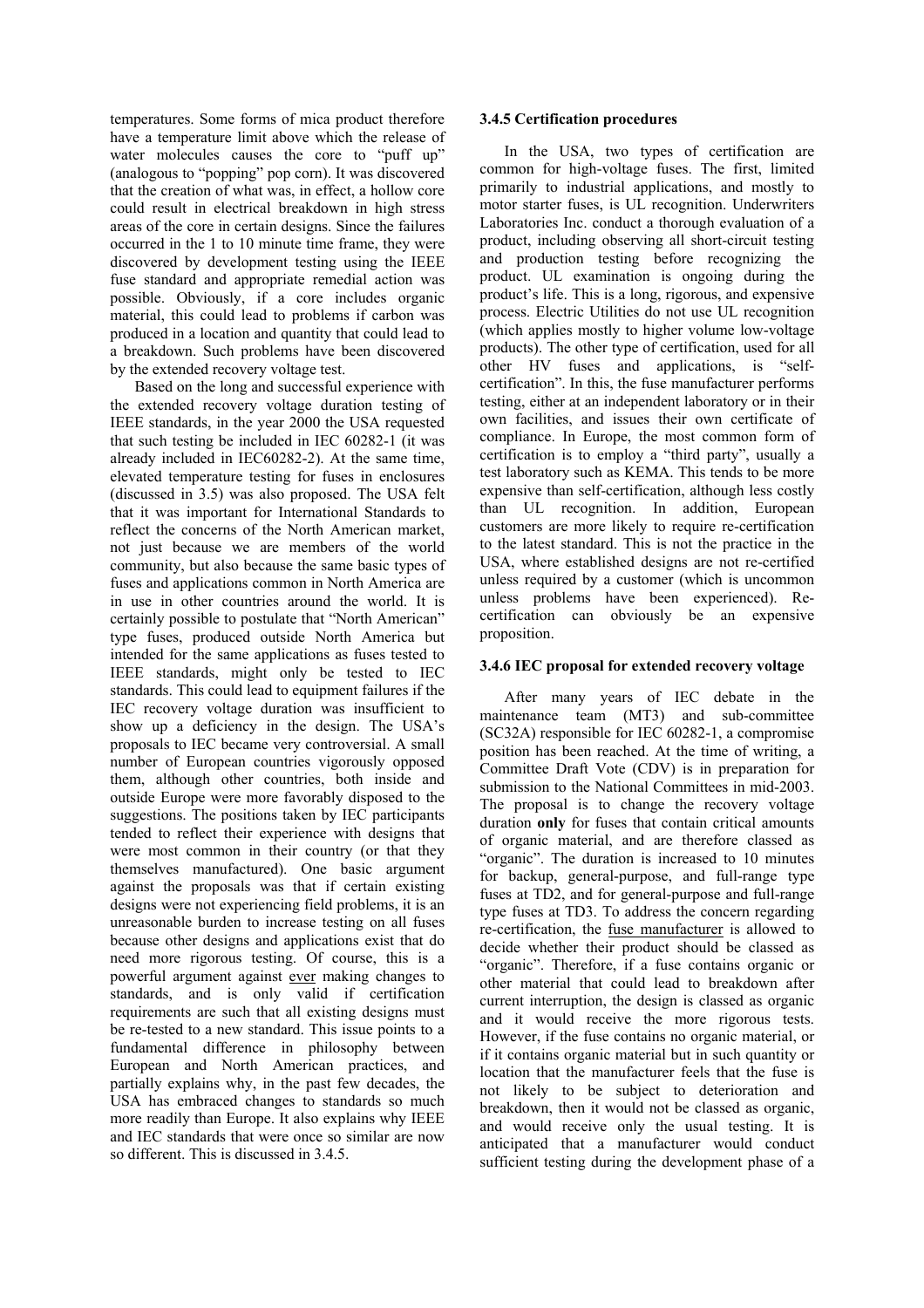temperatures. Some forms of mica product therefore have a temperature limit above which the release of water molecules causes the core to "puff up" (analogous to "popping" pop corn). It was discovered that the creation of what was, in effect, a hollow core could result in electrical breakdown in high stress areas of the core in certain designs. Since the failures occurred in the 1 to 10 minute time frame, they were discovered by development testing using the IEEE fuse standard and appropriate remedial action was possible. Obviously, if a core includes organic material, this could lead to problems if carbon was produced in a location and quantity that could lead to a breakdown. Such problems have been discovered by the extended recovery voltage test.

Based on the long and successful experience with the extended recovery voltage duration testing of IEEE standards, in the year 2000 the USA requested that such testing be included in IEC 60282-1 (it was already included in IEC60282-2). At the same time, elevated temperature testing for fuses in enclosures (discussed in 3.5) was also proposed. The USA felt that it was important for International Standards to reflect the concerns of the North American market not just because we are members of the world community, but also because the same basic types of fuses and applications common in North America are in use in other countries around the world. It is certainly possible to postulate that "North American" type fuses, produced outside North America but intended for the same applications as fuses tested to IEEE standards, might only be tested to IEC standards. This could lead to equipment failures if the IEC recovery voltage duration was insufficient to show up a deficiency in the design. The USA's proposals to IEC became very controversial. A small number of European countries vigorously opposed them, although other countries, both inside and outside Europe were more favorably disposed to the suggestions. The positions taken by IEC participants tended to reflect their experience with designs that were most common in their country (or that they themselves manufactured). One basic argument against the proposals was that if certain existing designs were not experiencing field problems, it is an unreasonable burden to increase testing on all fuses because other designs and applications exist that do need more rigorous testing. Of course, this is a powerful argument against ever making changes to standards, and is only valid if certification requirements are such that all existing designs must be re-tested to a new standard. This issue points to a fundamental difference in philosophy between European and North American practices, and partially explains why, in the past few decades, the USA has embraced changes to standards so much more readily than Europe. It also explains why IEEE and IEC standards that were once so similar are now so different. This is discussed in 3.4.5.

#### **3.4.5 Certification procedures**

In the USA, two types of certification are common for high-voltage fuses. The first, limited primarily to industrial applications, and mostly to motor starter fuses, is UL recognition. Underwriters Laboratories Inc. conduct a thorough evaluation of a product, including observing all short-circuit testing and production testing before recognizing the product. UL examination is ongoing during the product's life. This is a long, rigorous, and expensive process. Electric Utilities do not use UL recognition (which applies mostly to higher volume low-voltage products). The other type of certification, used for all other HV fuses and applications, is "selfcertification". In this, the fuse manufacturer performs testing, either at an independent laboratory or in their own facilities, and issues their own certificate of compliance. In Europe, the most common form of certification is to employ a "third party", usually a test laboratory such as KEMA. This tends to be more expensive than self-certification, although less costly than UL recognition. In addition, European customers are more likely to require re-certification to the latest standard. This is not the practice in the USA, where established designs are not re-certified unless required by a customer (which is uncommon unless problems have been experienced). Recertification can obviously be an expensive proposition.

#### **3.4.6 IEC proposal for extended recovery voltage**

After many years of IEC debate in the maintenance team (MT3) and sub-committee (SC32A) responsible for IEC 60282-1, a compromise position has been reached. At the time of writing, a Committee Draft Vote (CDV) is in preparation for submission to the National Committees in mid-2003. The proposal is to change the recovery voltage duration **only** for fuses that contain critical amounts of organic material, and are therefore classed as "organic". The duration is increased to 10 minutes for backup, general-purpose, and full-range type fuses at TD2, and for general-purpose and full-range type fuses at TD3. To address the concern regarding re-certification, the fuse manufacturer is allowed to decide whether their product should be classed as "organic". Therefore, if a fuse contains organic or other material that could lead to breakdown after current interruption, the design is classed as organic and it would receive the more rigorous tests. However, if the fuse contains no organic material, or if it contains organic material but in such quantity or location that the manufacturer feels that the fuse is not likely to be subject to deterioration and breakdown, then it would not be classed as organic, and would receive only the usual testing. It is anticipated that a manufacturer would conduct sufficient testing during the development phase of a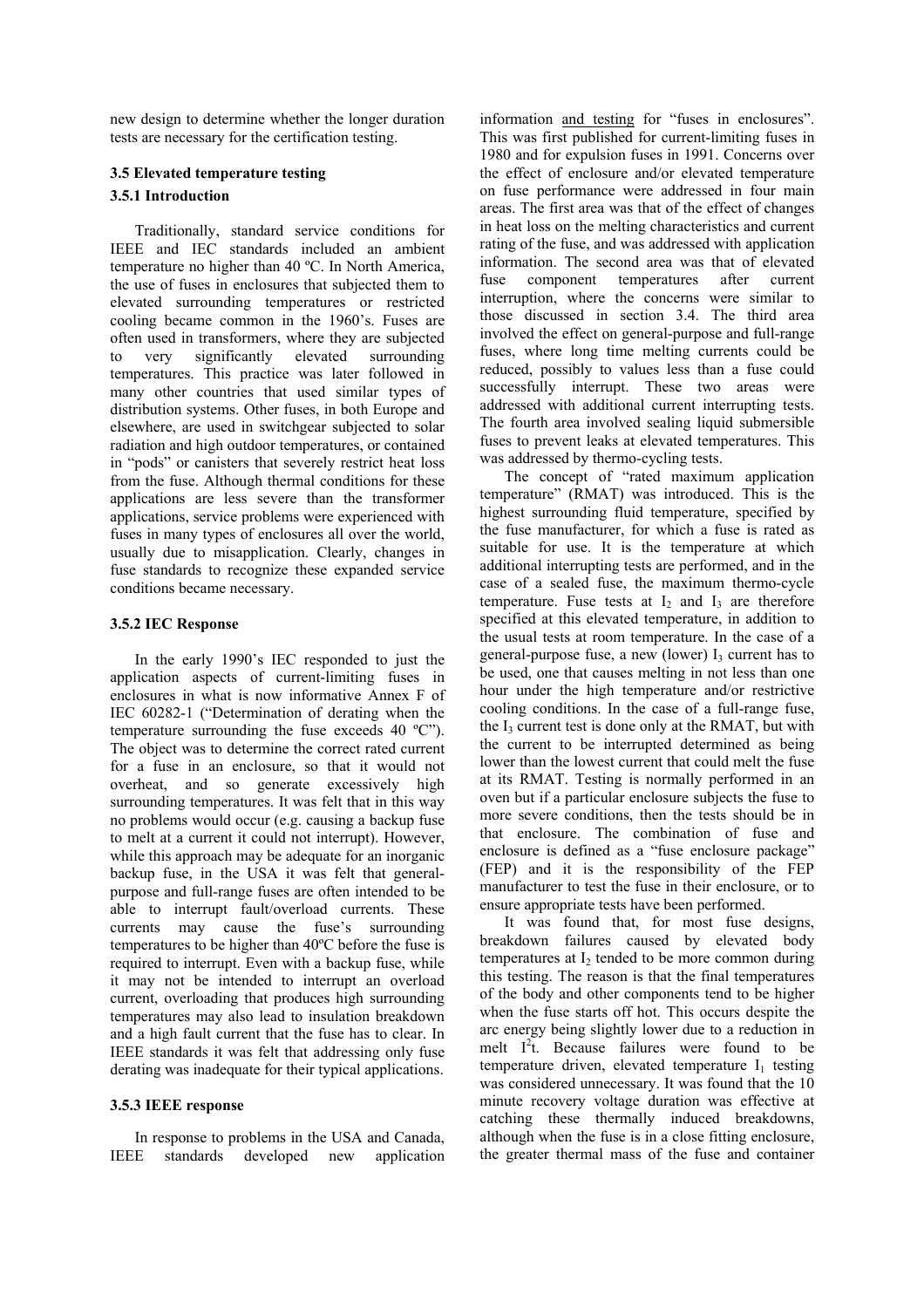new design to determine whether the longer duration tests are necessary for the certification testing.

# **3.5 Elevated temperature testing 3.5.1 Introduction**

Traditionally, standard service conditions for IEEE and IEC standards included an ambient temperature no higher than 40 ºC. In North America, the use of fuses in enclosures that subjected them to elevated surrounding temperatures or restricted cooling became common in the 1960's. Fuses are often used in transformers, where they are subjected to very significantly elevated surrounding temperatures. This practice was later followed in many other countries that used similar types of distribution systems. Other fuses, in both Europe and elsewhere, are used in switchgear subjected to solar radiation and high outdoor temperatures, or contained in "pods" or canisters that severely restrict heat loss from the fuse. Although thermal conditions for these applications are less severe than the transformer applications, service problems were experienced with fuses in many types of enclosures all over the world, usually due to misapplication. Clearly, changes in fuse standards to recognize these expanded service conditions became necessary.

## **3.5.2 IEC Response**

In the early 1990's IEC responded to just the application aspects of current-limiting fuses in enclosures in what is now informative Annex F of IEC 60282-1 ("Determination of derating when the temperature surrounding the fuse exceeds 40 ºC"). The object was to determine the correct rated current for a fuse in an enclosure, so that it would not overheat, and so generate excessively high surrounding temperatures. It was felt that in this way no problems would occur (e.g. causing a backup fuse to melt at a current it could not interrupt). However, while this approach may be adequate for an inorganic backup fuse, in the USA it was felt that generalpurpose and full-range fuses are often intended to be able to interrupt fault/overload currents. These currents may cause the fuse's surrounding temperatures to be higher than 40ºC before the fuse is required to interrupt. Even with a backup fuse, while it may not be intended to interrupt an overload current, overloading that produces high surrounding temperatures may also lead to insulation breakdown and a high fault current that the fuse has to clear. In IEEE standards it was felt that addressing only fuse derating was inadequate for their typical applications.

## **3.5.3 IEEE response**

In response to problems in the USA and Canada, IEEE standards developed new application information and testing for "fuses in enclosures". This was first published for current-limiting fuses in 1980 and for expulsion fuses in 1991. Concerns over the effect of enclosure and/or elevated temperature on fuse performance were addressed in four main areas. The first area was that of the effect of changes in heat loss on the melting characteristics and current rating of the fuse, and was addressed with application information. The second area was that of elevated fuse component temperatures after current interruption, where the concerns were similar to those discussed in section 3.4. The third area involved the effect on general-purpose and full-range fuses, where long time melting currents could be reduced, possibly to values less than a fuse could successfully interrupt. These two areas were addressed with additional current interrupting tests. The fourth area involved sealing liquid submersible fuses to prevent leaks at elevated temperatures. This was addressed by thermo-cycling tests.

The concept of "rated maximum application temperature" (RMAT) was introduced. This is the highest surrounding fluid temperature, specified by the fuse manufacturer, for which a fuse is rated as suitable for use. It is the temperature at which additional interrupting tests are performed, and in the case of a sealed fuse, the maximum thermo-cycle temperature. Fuse tests at  $I_2$  and  $I_3$  are therefore specified at this elevated temperature, in addition to the usual tests at room temperature. In the case of a general-purpose fuse, a new (lower)  $I_3$  current has to be used, one that causes melting in not less than one hour under the high temperature and/or restrictive cooling conditions. In the case of a full-range fuse, the  $I_3$  current test is done only at the RMAT, but with the current to be interrupted determined as being lower than the lowest current that could melt the fuse at its RMAT. Testing is normally performed in an oven but if a particular enclosure subjects the fuse to more severe conditions, then the tests should be in that enclosure. The combination of fuse and enclosure is defined as a "fuse enclosure package" (FEP) and it is the responsibility of the FEP manufacturer to test the fuse in their enclosure, or to ensure appropriate tests have been performed.

It was found that, for most fuse designs, breakdown failures caused by elevated body temperatures at  $I_2$  tended to be more common during this testing. The reason is that the final temperatures of the body and other components tend to be higher when the fuse starts off hot. This occurs despite the arc energy being slightly lower due to a reduction in melt  $I^2$ t. Because failures were found to be temperature driven, elevated temperature  $I_1$  testing was considered unnecessary. It was found that the 10 minute recovery voltage duration was effective at catching these thermally induced breakdowns, although when the fuse is in a close fitting enclosure, the greater thermal mass of the fuse and container